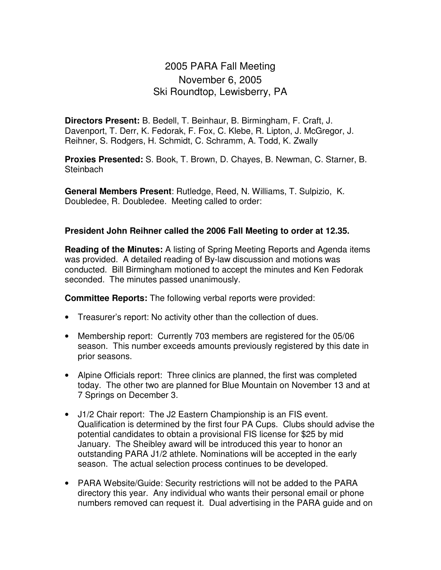## 2005 PARA Fall Meeting November 6, 2005 Ski Roundtop, Lewisberry, PA

**Directors Present:** B. Bedell, T. Beinhaur, B. Birmingham, F. Craft, J. Davenport, T. Derr, K. Fedorak, F. Fox, C. Klebe, R. Lipton, J. McGregor, J. Reihner, S. Rodgers, H. Schmidt, C. Schramm, A. Todd, K. Zwally

**Proxies Presented:** S. Book, T. Brown, D. Chayes, B. Newman, C. Starner, B. **Steinbach** 

**General Members Present**: Rutledge, Reed, N. Williams, T. Sulpizio, K. Doubledee, R. Doubledee. Meeting called to order:

## **President John Reihner called the 2006 Fall Meeting to order at 12.35.**

**Reading of the Minutes:** A listing of Spring Meeting Reports and Agenda items was provided. A detailed reading of By-law discussion and motions was conducted. Bill Birmingham motioned to accept the minutes and Ken Fedorak seconded. The minutes passed unanimously.

**Committee Reports:** The following verbal reports were provided:

- Treasurer's report: No activity other than the collection of dues.
- Membership report: Currently 703 members are registered for the 05/06 season. This number exceeds amounts previously registered by this date in prior seasons.
- Alpine Officials report: Three clinics are planned, the first was completed today. The other two are planned for Blue Mountain on November 13 and at 7 Springs on December 3.
- J1/2 Chair report: The J2 Eastern Championship is an FIS event. Qualification is determined by the first four PA Cups. Clubs should advise the potential candidates to obtain a provisional FIS license for \$25 by mid January. The Sheibley award will be introduced this year to honor an outstanding PARA J1/2 athlete. Nominations will be accepted in the early season. The actual selection process continues to be developed.
- PARA Website/Guide: Security restrictions will not be added to the PARA directory this year. Any individual who wants their personal email or phone numbers removed can request it. Dual advertising in the PARA guide and on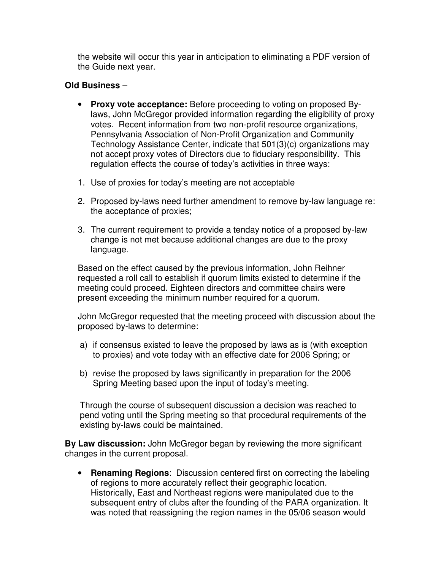the website will occur this year in anticipation to eliminating a PDF version of the Guide next year.

## **Old Business** –

- **Proxy vote acceptance:** Before proceeding to voting on proposed Bylaws, John McGregor provided information regarding the eligibility of proxy votes. Recent information from two non-profit resource organizations, Pennsylvania Association of Non-Profit Organization and Community Technology Assistance Center, indicate that 501(3)(c) organizations may not accept proxy votes of Directors due to fiduciary responsibility. This regulation effects the course of today's activities in three ways:
- 1. Use of proxies for today's meeting are not acceptable
- 2. Proposed by-laws need further amendment to remove by-law language re: the acceptance of proxies;
- 3. The current requirement to provide a tenday notice of a proposed by-law change is not met because additional changes are due to the proxy language.

Based on the effect caused by the previous information, John Reihner requested a roll call to establish if quorum limits existed to determine if the meeting could proceed. Eighteen directors and committee chairs were present exceeding the minimum number required for a quorum.

John McGregor requested that the meeting proceed with discussion about the proposed by-laws to determine:

- a) if consensus existed to leave the proposed by laws as is (with exception to proxies) and vote today with an effective date for 2006 Spring; or
- b) revise the proposed by laws significantly in preparation for the 2006 Spring Meeting based upon the input of today's meeting.

Through the course of subsequent discussion a decision was reached to pend voting until the Spring meeting so that procedural requirements of the existing by-laws could be maintained.

**By Law discussion:** John McGregor began by reviewing the more significant changes in the current proposal.

• **Renaming Regions**: Discussion centered first on correcting the labeling of regions to more accurately reflect their geographic location. Historically, East and Northeast regions were manipulated due to the subsequent entry of clubs after the founding of the PARA organization. It was noted that reassigning the region names in the 05/06 season would